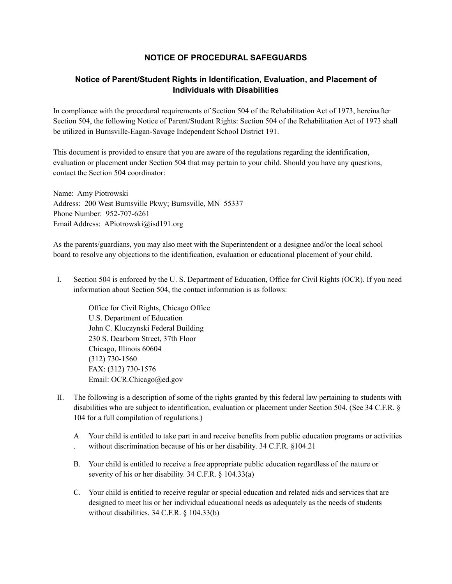## **NOTICE OF PROCEDURAL SAFEGUARDS**

## **Notice of Parent/Student Rights in Identification, Evaluation, and Placement of Individuals with Disabilities**

In compliance with the procedural requirements of Section 504 of the Rehabilitation Act of 1973, hereinafter Section 504, the following Notice of Parent/Student Rights: Section 504 of the Rehabilitation Act of 1973 shall be utilized in Burnsville-Eagan-Savage Independent School District 191.

This document is provided to ensure that you are aware of the regulations regarding the identification, evaluation or placement under Section 504 that may pertain to your child. Should you have any questions, contact the Section 504 coordinator:

Name: Amy Piotrowski Address: 200 West Burnsville Pkwy; Burnsville, MN 55337 Phone Number: 952-707-6261 Email Address: APiotrowski@isd191.org

As the parents/guardians, you may also meet with the Superintendent or a designee and/or the local school board to resolve any objections to the identification, evaluation or educational placement of your child.

I. Section 504 is enforced by the U. S. Department of Education, Office for Civil Rights (OCR). If you need information about Section 504, the contact information is as follows:

Office for Civil Rights, Chicago Office U.S. Department of Education John C. Kluczynski Federal Building 230 S. Dearborn Street, 37th Floor Chicago, Illinois 60604 (312) 730-1560 FAX: (312) 730-1576 Email: OCR.Chicago@ed.gov

- II. The following is a description of some of the rights granted by this federal law pertaining to students with disabilities who are subject to identification, evaluation or placement under Section 504. (See 34 C.F.R. § 104 for a full compilation of regulations.)
	- A . Your child is entitled to take part in and receive benefits from public education programs or activities without discrimination because of his or her disability. 34 C.F.R. §104.21
	- B. Your child is entitled to receive a free appropriate public education regardless of the nature or severity of his or her disability. 34 C.F.R. § 104.33(a)
	- C. Your child is entitled to receive regular or special education and related aids and services that are designed to meet his or her individual educational needs as adequately as the needs of students without disabilities. 34 C.F.R. § 104.33(b)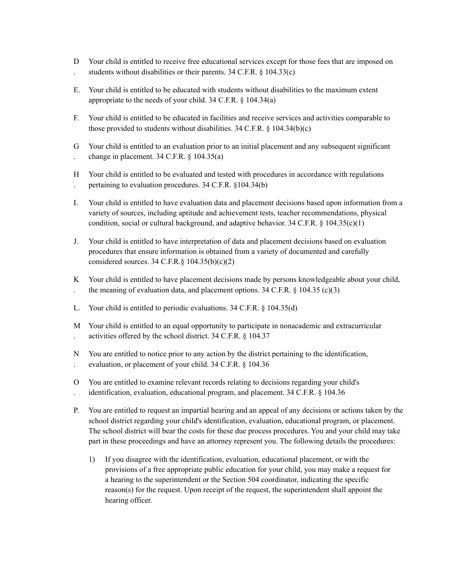- $D$ . Your child is entitled to receive free educational services except for those fees that are imposed on students without disabilities or their parents. 34 C.F.R. § 104.33(c)
- E. Your child is entitled to be educated with students without disabilities to the maximum extent appropriate to the needs of your child. 34 C.F.R. § 104.34(a)
- F. Your child is entitled to be educated in facilities and receive services and activities comparable to those provided to students without disabilities.  $34 \text{ C.F.R.}$  §  $104.34(b)(c)$
- G . Your child is entitled to an evaluation prior to an initial placement and any subsequent significant change in placement. 34 C.F.R. § 104.35(a)
- H . Your child is entitled to be evaluated and tested with procedures in accordance with regulations pertaining to evaluation procedures. 34 C.F.R. §104.34(b)
- I. Your child is entitled to have evaluation data and placement decisions based upon information from a variety of sources, including aptitude and achievement tests, teacher recommendations, physical condition, social or cultural background, and adaptive behavior.  $34$  C.F.R. §  $104.35(c)(1)$
- J. Your child is entitled to have interpretation of data and placement decisions based on evaluation procedures that ensure information is obtained from a variety of documented and carefully considered sources. 34 C.F.R. $\S$  104.35(b)(c)(2)
- K Your child is entitled to have placement decisions made by persons knowledgeable about your child, the meaning of evaluation data, and placement options.  $34$  C.F.R. § 104.35 (c)(3)
- L. Your child is entitled to periodic evaluations. 34 C.F.R. § 104.35(d)
- M . Your child is entitled to an equal opportunity to participate in nonacademic and extracurricular activities offered by the school district. 34 C.F.R. § 104.37
- N . You are entitled to notice prior to any action by the district pertaining to the identification, evaluation, or placement of your child. 34 C.F.R. § 104.36
- O . You are entitled to examine relevant records relating to decisions regarding your child's identification, evaluation, educational program, and placement. 34 C.F.R. § 104.36
- P. You are entitled to request an impartial hearing and an appeal of any decisions or actions taken by the school district regarding your child's identification, evaluation, educational program, or placement. The school district will bear the costs for these due process procedures. You and your child may take part in these proceedings and have an attorney represent you. The following details the procedures:
	- 1) If you disagree with the identification, evaluation, educational placement, or with the provisions of a free appropriate public education for your child, you may make a request for a hearing to the superintendent or the Section 504 coordinator, indicating the specific reason(s) for the request. Upon receipt of the request, the superintendent shall appoint the hearing officer.